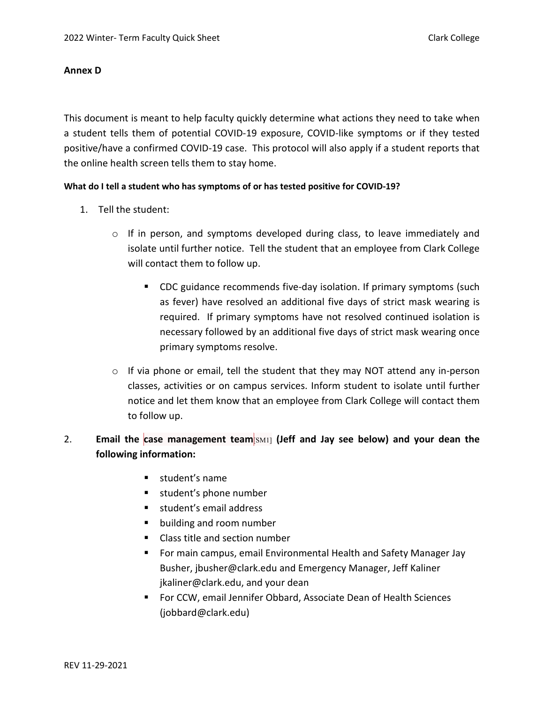## **Annex D**

This document is meant to help faculty quickly determine what actions they need to take when a student tells them of potential COVID-19 exposure, COVID-like symptoms or if they tested positive/have a confirmed COVID-19 case. This protocol will also apply if a student reports that the online health screen tells them to stay home.

## **What do I tell a student who has symptoms of or has tested positive for COVID-19?**

- 1. Tell the student:
	- o If in person, and symptoms developed during class, to leave immediately and isolate until further notice. Tell the student that an employee from Clark College will contact them to follow up.
		- CDC guidance recommends five-day isolation. If primary symptoms (such as fever) have resolved an additional five days of strict mask wearing is required. If primary symptoms have not resolved continued isolation is necessary followed by an additional five days of strict mask wearing once primary symptoms resolve.
	- o If via phone or email, tell the student that they may NOT attend any in-person classes, activities or on campus services. Inform student to isolate until further notice and let them know that an employee from Clark College will contact them to follow up.

# 2. **Email the case management team**[SM1] **(Jeff and Jay see below) and your dean the following information:**

- **student's name**
- student's phone number
- **student's email address**
- building and room number
- Class title and section number
- **Formain campus, email Environmental Health and Safety Manager Jay** Busher[, jbusher@clark.edu](mailto:jbusher@clark.edu) and Emergency Manager, Jeff Kaliner [jkaliner@clark.edu,](mailto:jkaliner@clark.edu) and your dean
- For CCW, email Jennifer Obbard, Associate Dean of Health Sciences [\(jobbard@clark.edu\)](mailto:jobbard@clark.edu)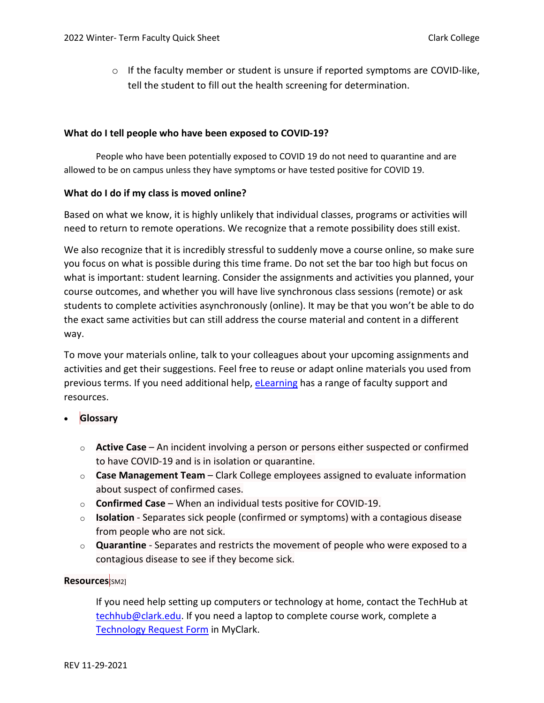$\circ$  If the faculty member or student is unsure if reported symptoms are COVID-like, tell the student to fill out the health screening for determination.

#### **What do I tell people who have been exposed to COVID-19?**

People who have been potentially exposed to COVID 19 do not need to quarantine and are allowed to be on campus unless they have symptoms or have tested positive for COVID 19.

## **What do I do if my class is moved online?**

Based on what we know, it is highly unlikely that individual classes, programs or activities will need to return to remote operations. We recognize that a remote possibility does still exist.

We also recognize that it is incredibly stressful to suddenly move a course online, so make sure you focus on what is possible during this time frame. Do not set the bar too high but focus on what is important: student learning. Consider the assignments and activities you planned, your course outcomes, and whether you will have live synchronous class sessions (remote) or ask students to complete activities asynchronously (online). It may be that you won't be able to do the exact same activities but can still address the course material and content in a different way.

To move your materials online, talk to your colleagues about your upcoming assignments and activities and get their suggestions. Feel free to reuse or adapt online materials you used from previous terms. If you need additional help, [eLearning](https://www.clark.edu/academics/eLearning/faculty/index.php) has a range of faculty support and resources.

# • **Glossary**

- o **Active Case** An incident involving a person or persons either suspected or confirmed to have COVID-19 and is in isolation or quarantine.
- o **Case Management Team** Clark College employees assigned to evaluate information about suspect of confirmed cases.
- o **Confirmed Case** When an individual tests positive for COVID-19.
- o **Isolation** Separates sick people (confirmed or symptoms) with a contagious disease from people who are not sick.
- o **Quarantine** Separates and restricts the movement of people who were exposed to a contagious disease to see if they become sick.

# **Resources**[SM2]

If you need help setting up computers or technology at home, contact the TechHub at [techhub@clark.edu.](mailto:techhub@clark.edu) If you need a laptop to complete course work, complete a [Technology Request Form](https://www.clark.edu/its/documentation-and-resources/students/tech-request.php) in MyClark.